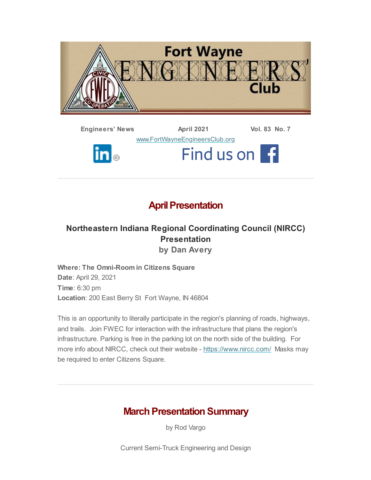

**Engineers' News April 2021 Vol. 83 No. 7** [www.FortWayneEngineersClub.org](http://www.fortwayneengineersclub.org/) Find us on f  $\mathbf{in}_{\circledcirc}$ 

## **April Presentation**

### **Northeastern Indiana Regional Coordinating Council (NIRCC) Presentation by Dan Avery**

**Where: The Omni-Room in Citizens Square Date**: April 29, 2021 **Time**: 6:30 pm **Location**: 200 East Berry St Fort Wayne, IN 46804

This is an opportunity to literally participate in the region's planning of roads, highways, and trails. Join FWEC for interaction with the infrastructure that plans the region's infrastructure. Parking is free in the parking lot on the north side of the building. For more info about NIRCC, check out their website - <https://www.nircc.com/> Masks may be required to enter Citizens Square.

# **March Presentation Summary**

by Rod Vargo

Current Semi-Truck Engineering and Design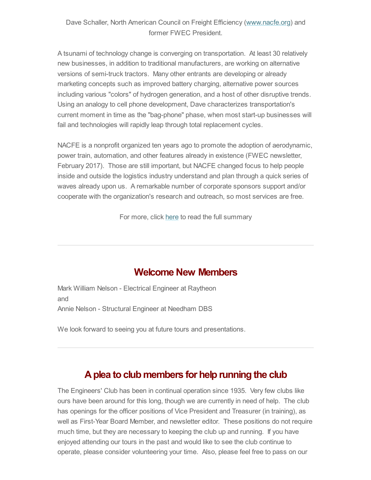### Dave Schaller, North American Council on Freight Efficiency ([www.nacfe.org\)](http://www.nacfe.org/) and former FWEC President.

A tsunami of technology change is converging on transportation. At least 30 relatively new businesses, in addition to traditional manufacturers, are working on alternative versions of semi-truck tractors. Many other entrants are developing or already marketing concepts such as improved battery charging, alternative power sources including various "colors" of hydrogen generation, and a host of other disruptive trends. Using an analogy to cell phone development, Dave characterizes transportation's current moment in time as the "bag-phone" phase, when most start-up businesses will fail and technologies will rapidly leap through total replacement cycles.

NACFE is a nonprofit organized ten years ago to promote the adoption of aerodynamic, power train, automation, and other features already in existence (FWEC newsletter, February 2017). Those are still important, but NACFE changed focus to help people inside and outside the logistics industry understand and plan through a quick series of waves already upon us. A remarkable number of corporate sponsors support and/or cooperate with the organization's research and outreach, so most services are free.

For more, click [here](#page-3-0) to read the full summary

### **Welcome New Members**

Mark William Nelson - Electrical Engineer at Raytheon and Annie Nelson - Structural Engineer at Needham DBS

We look forward to seeing you at future tours and presentations.

### **Aplea to club members for help running the club**

The Engineers' Club has been in continual operation since 1935. Very few clubs like ours have been around for this long, though we are currently in need of help. The club has openings for the officer positions of Vice President and Treasurer (in training), as well as First-Year Board Member, and newsletter editor. These positions do not require much time, but they are necessary to keeping the club up and running. If you have enjoyed attending our tours in the past and would like to see the club continue to operate, please consider volunteering your time. Also, please feel free to pass on our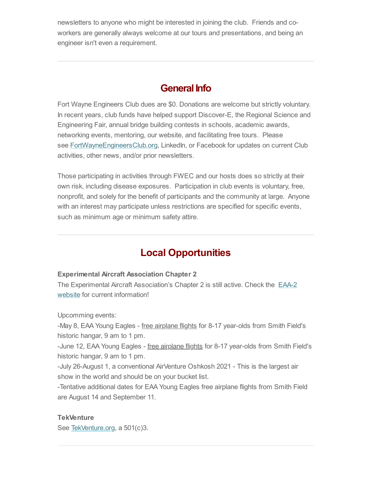newsletters to anyone who might be interested in joining the club. Friends and coworkers are generally always welcome at our tours and presentations, and being an engineer isn't even a requirement.

## **General Info**

Fort Wayne Engineers Club dues are \$0. Donations are welcome but strictly voluntary. In recent years, club funds have helped support Discover-E, the Regional Science and Engineering Fair, annual bridge building contests in schools, academic awards, networking events, mentoring, our website, and facilitating free tours. Please see <u>[FortWayneEngineersClub.org](http://fortwayneengineersclub.org/),</u> LinkedIn, or Facebook for updates on current Club activities, other news, and/or prior newsletters.

Those participating in activities through FWEC and our hosts does so strictly at their own risk, including disease exposures. Participation in club events is voluntary, free, nonprofit, and solely for the benefit of participants and the community at large. Anyone with an interest may participate unless restrictions are specified for specific events, such as minimum age or minimum safety attire.

## **Local Opportunities**

#### **Experimental Aircraft Association Chapter 2**

The Experimental Aircraft [Association's](https://www.eaa2.org/young_eagles.php) Chapter 2 is still active. Check the EAA-2 website for current information!

Upcomming events:

-May 8, EAA Young Eagles - free airplane flights for 8-17 year-olds from Smith Field's historic hangar, 9 am to 1 pm.

-June 12, EAA Young Eagles - free airplane flights for 8-17 year-olds from Smith Field's historic hangar, 9 am to 1 pm.

-July 26-August 1, a conventional AirVenture Oshkosh 2021 - This is the largest air show in the world and should be on your bucket list.

-Tentative additional dates for EAA Young Eagles free airplane flights from Smith Field are August 14 and September 11.

#### **TekVenture**

See [TekVenture.org,](http://www.tekventure.org/) a 501(c)3.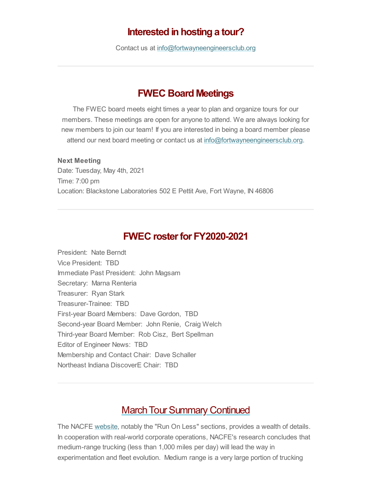### **Interested in hosting a tour?**

Contact us at [info@fortwayneengineersclub.org](mailto:info@fortwayneengineersclub.org)

### **FWEC Board Meetings**

The FWEC board meets eight times a year to plan and organize tours for our members. These meetings are open for anyone to attend. We are always looking for new members to join our team! If you are interested in being a board member please attend our next board meeting or contact us at [info@fortwayneengineersclub.org.](mailto:info@fortwayneengineersclub.org)

#### **Next Meeting**

Date: Tuesday, May 4th, 2021 Time: 7:00 pm Location: Blackstone Laboratories 502 E Pettit Ave, Fort Wayne, IN 46806

### **FWEC rosterfor FY2020-2021**

President: Nate Berndt Vice President: TBD Immediate Past President: John Magsam Secretary: Marna Renteria Treasurer: Ryan Stark Treasurer-Trainee: TBD First-year Board Members: Dave Gordon, TBD Second-year Board Member: John Renie, Craig Welch Third-year Board Member: Rob Cisz, Bert Spellman Editor of Engineer News: TBD Membership and Contact Chair: Dave Schaller Northeast Indiana DiscoverE Chair: TBD

### <span id="page-3-0"></span>**March Tour Summary Continued**

The NACFE [website](http://www.nacfe.org/), notably the "Run On Less" sections, provides a wealth of details. In cooperation with real-world corporate operations, NACFE's research concludes that medium-range trucking (less than 1,000 miles per day) will lead the way in experimentation and fleet evolution. Medium range is a very large portion of trucking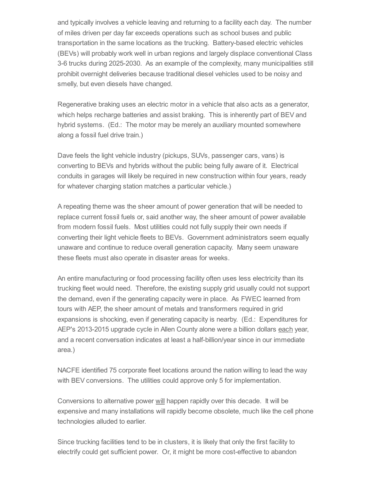and typically involves a vehicle leaving and returning to a facility each day. The number of miles driven per day far exceeds operations such as school buses and public transportation in the same locations as the trucking. Battery-based electric vehicles (BEVs) will probably work well in urban regions and largely displace conventional Class 3-6 trucks during 2025-2030. As an example of the complexity, many municipalities still prohibit overnight deliveries because traditional diesel vehicles used to be noisy and smelly, but even diesels have changed.

Regenerative braking uses an electric motor in a vehicle that also acts as a generator, which helps recharge batteries and assist braking. This is inherently part of BEV and hybrid systems. (Ed.: The motor may be merely an auxiliary mounted somewhere along a fossil fuel drive train.)

Dave feels the light vehicle industry (pickups, SUVs, passenger cars, vans) is converting to BEVs and hybrids without the public being fully aware of it. Electrical conduits in garages will likely be required in new construction within four years, ready for whatever charging station matches a particular vehicle.)

A repeating theme was the sheer amount of power generation that will be needed to replace current fossil fuels or, said another way, the sheer amount of power available from modern fossil fuels. Most utilities could not fully supply their own needs if converting their light vehicle fleets to BEVs. Government administrators seem equally unaware and continue to reduce overall generation capacity. Many seem unaware these fleets must also operate in disaster areas for weeks.

An entire manufacturing or food processing facility often uses less electricity than its trucking fleet would need. Therefore, the existing supply grid usually could not support the demand, even if the generating capacity were in place. As FWEC learned from tours with AEP, the sheer amount of metals and transformers required in grid expansions is shocking, even if generating capacity is nearby. (Ed.: Expenditures for AEP's 2013-2015 upgrade cycle in Allen County alone were a billion dollars each year, and a recent conversation indicates at least a half-billion/year since in our immediate area.)

NACFE identified 75 corporate fleet locations around the nation willing to lead the way with BEV conversions. The utilities could approve only 5 for implementation.

Conversions to alternative power will happen rapidly over this decade. It will be expensive and many installations will rapidly become obsolete, much like the cell phone technologies alluded to earlier.

Since trucking facilities tend to be in clusters, it is likely that only the first facility to electrify could get sufficient power. Or, it might be more cost-effective to abandon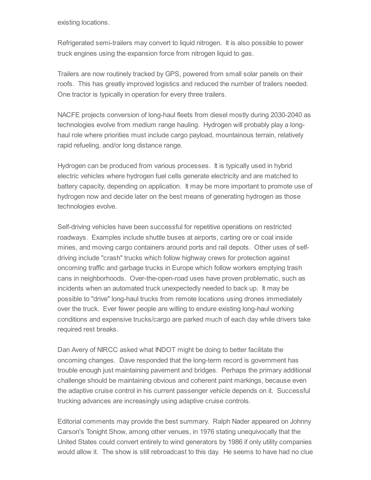existing locations.

Refrigerated semi-trailers may convert to liquid nitrogen. It is also possible to power truck engines using the expansion force from nitrogen liquid to gas.

Trailers are now routinely tracked by GPS, powered from small solar panels on their roofs. This has greatly improved logistics and reduced the number of trailers needed. One tractor is typically in operation for every three trailers.

NACFE projects conversion of long-haul fleets from diesel mostly during 2030-2040 as technologies evolve from medium range hauling. Hydrogen will probably play a longhaul role where priorities must include cargo payload, mountainous terrain, relatively rapid refueling, and/or long distance range.

Hydrogen can be produced from various processes. It is typically used in hybrid electric vehicles where hydrogen fuel cells generate electricity and are matched to battery capacity, depending on application. It may be more important to promote use of hydrogen now and decide later on the best means of generating hydrogen as those technologies evolve.

Self-driving vehicles have been successful for repetitive operations on restricted roadways. Examples include shuttle buses at airports, carting ore or coal inside mines, and moving cargo containers around ports and rail depots. Other uses of selfdriving include "crash" trucks which follow highway crews for protection against oncoming traffic and garbage trucks in Europe which follow workers emptying trash cans in neighborhoods. Over-the-open-road uses have proven problematic, such as incidents when an automated truck unexpectedly needed to back up. It may be possible to "drive" long-haul trucks from remote locations using drones immediately over the truck. Ever fewer people are willing to endure existing long-haul working conditions and expensive trucks/cargo are parked much of each day while drivers take required rest breaks.

Dan Avery of NIRCC asked what INDOT might be doing to better facilitate the oncoming changes. Dave responded that the long-term record is government has trouble enough just maintaining pavement and bridges. Perhaps the primary additional challenge should be maintaining obvious and coherent paint markings, because even the adaptive cruise control in his current passenger vehicle depends on it. Successful trucking advances are increasingly using adaptive cruise controls.

Editorial comments may provide the best summary. Ralph Nader appeared on Johnny Carson's Tonight Show, among other venues, in 1976 stating unequivocally that the United States could convert entirely to wind generators by 1986 if only utility companies would allow it. The show is still rebroadcast to this day. He seems to have had no clue